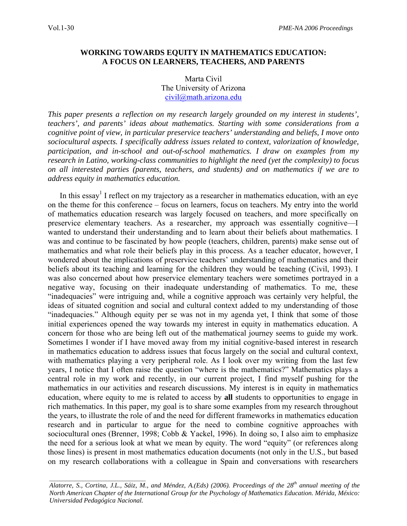## **WORKING TOWARDS EQUITY IN MATHEMATICS EDUCATION: A FOCUS ON LEARNERS, TEACHERS, AND PARENTS**

Marta Civil The University of Arizona [civil@math.arizona.edu](mailto:civil@math.arizona.edu)

*This paper presents a reflection on my research largely grounded on my interest in students', teachers', and parents' ideas about mathematics. Starting with some considerations from a cognitive point of view, in particular preservice teachers' understanding and beliefs, I move onto sociocultural aspects. I specifically address issues related to context, valorization of knowledge, participation, and in-school and out-of-school mathematics. I draw on examples from my research in Latino, working-class communities to highlight the need (yet the complexity) to focus on all interested parties (parents, teachers, and students) and on mathematics if we are to address equity in mathematics education.* 

In this essay<sup>1</sup> I reflect on my trajectory as a researcher in mathematics education, with an eye on the theme for this conference – focus on learners, focus on teachers. My entry into the world of mathematics education research was largely focused on teachers, and more specifically on preservice elementary teachers. As a researcher, my approach was essentially cognitive—I wanted to understand their understanding and to learn about their beliefs about mathematics. I was and continue to be fascinated by how people (teachers, children, parents) make sense out of mathematics and what role their beliefs play in this process. As a teacher educator, however, I wondered about the implications of preservice teachers' understanding of mathematics and their beliefs about its teaching and learning for the children they would be teaching (Civil, 1993). I was also concerned about how preservice elementary teachers were sometimes portrayed in a negative way, focusing on their inadequate understanding of mathematics. To me, these "inadequacies" were intriguing and, while a cognitive approach was certainly very helpful, the ideas of situated cognition and social and cultural context added to my understanding of those "inadequacies." Although equity per se was not in my agenda yet, I think that some of those initial experiences opened the way towards my interest in equity in mathematics education. A concern for those who are being left out of the mathematical journey seems to guide my work. Sometimes I wonder if I have moved away from my initial cognitive-based interest in research in mathematics education to address issues that focus largely on the social and cultural context, with mathematics playing a very peripheral role. As I look over my writing from the last few years, I notice that I often raise the question "where is the mathematics?" Mathematics plays a central role in my work and recently, in our current project, I find myself pushing for the mathematics in our activities and research discussions. My interest is in equity in mathematics education, where equity to me is related to access by **all** students to opportunities to engage in rich mathematics. In this paper, my goal is to share some examples from my research throughout the years, to illustrate the role of and the need for different frameworks in mathematics education research and in particular to argue for the need to combine cognitive approaches with sociocultural ones (Brenner, 1998; Cobb & Yackel, 1996). In doing so, I also aim to emphasize the need for a serious look at what we mean by equity. The word "equity" (or references along those lines) is present in most mathematics education documents (not only in the U.S., but based on my research collaborations with a colleague in Spain and conversations with researchers

 $\overline{A}$ *Alatorre, S., Cortina, J.L., Sáiz, M., and Méndez, A.(Eds) (2006). Proceedings of the 28<sup>th</sup> annual meeting of the North American Chapter of the International Group for the Psychology of Mathematics Education. Mérida, México: Universidad Pedagógica Nacional.*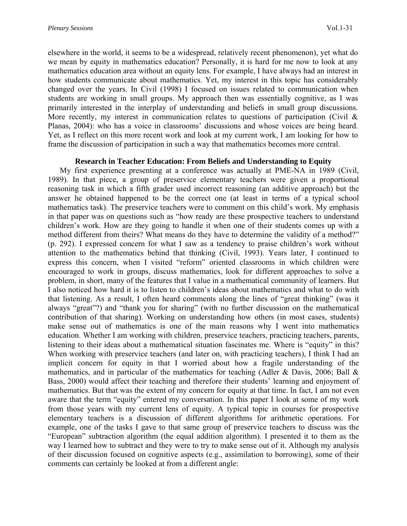elsewhere in the world, it seems to be a widespread, relatively recent phenomenon), yet what do we mean by equity in mathematics education? Personally, it is hard for me now to look at any mathematics education area without an equity lens. For example, I have always had an interest in how students communicate about mathematics. Yet, my interest in this topic has considerably changed over the years. In Civil (1998) I focused on issues related to communication when students are working in small groups. My approach then was essentially cognitive, as I was primarily interested in the interplay of understanding and beliefs in small group discussions. More recently, my interest in communication relates to questions of participation (Civil  $\&$ Planas, 2004): who has a voice in classrooms' discussions and whose voices are being heard. Yet, as I reflect on this more recent work and look at my current work, I am looking for how to frame the discussion of participation in such a way that mathematics becomes more central.

#### **Research in Teacher Education: From Beliefs and Understanding to Equity**

My first experience presenting at a conference was actually at PME-NA in 1989 (Civil, 1989). In that piece, a group of preservice elementary teachers were given a proportional reasoning task in which a fifth grader used incorrect reasoning (an additive approach) but the answer he obtained happened to be the correct one (at least in terms of a typical school mathematics task). The preservice teachers were to comment on this child's work. My emphasis in that paper was on questions such as "how ready are these prospective teachers to understand children's work. How are they going to handle it when one of their students comes up with a method different from theirs? What means do they have to determine the validity of a method?" (p. 292). I expressed concern for what I saw as a tendency to praise children's work without attention to the mathematics behind that thinking (Civil, 1993). Years later, I continued to express this concern, when I visited "reform" oriented classrooms in which children were encouraged to work in groups, discuss mathematics, look for different approaches to solve a problem, in short, many of the features that I value in a mathematical community of learners. But I also noticed how hard it is to listen to children's ideas about mathematics and what to do with that listening. As a result, I often heard comments along the lines of "great thinking" (was it always "great"?) and "thank you for sharing" (with no further discussion on the mathematical contribution of that sharing). Working on understanding how others (in most cases, students) make sense out of mathematics is one of the main reasons why I went into mathematics education. Whether I am working with children, preservice teachers, practicing teachers, parents, listening to their ideas about a mathematical situation fascinates me. Where is "equity" in this? When working with preservice teachers (and later on, with practicing teachers), I think I had an implicit concern for equity in that I worried about how a fragile understanding of the mathematics, and in particular of the mathematics for teaching (Adler & Davis, 2006; Ball & Bass, 2000) would affect their teaching and therefore their students' learning and enjoyment of mathematics. But that was the extent of my concern for equity at that time. In fact, I am not even aware that the term "equity" entered my conversation. In this paper I look at some of my work from those years with my current lens of equity. A typical topic in courses for prospective elementary teachers is a discussion of different algorithms for arithmetic operations. For example, one of the tasks I gave to that same group of preservice teachers to discuss was the "European" subtraction algorithm (the equal addition algorithm). I presented it to them as the way I learned how to subtract and they were to try to make sense out of it. Although my analysis of their discussion focused on cognitive aspects (e.g., assimilation to borrowing), some of their comments can certainly be looked at from a different angle: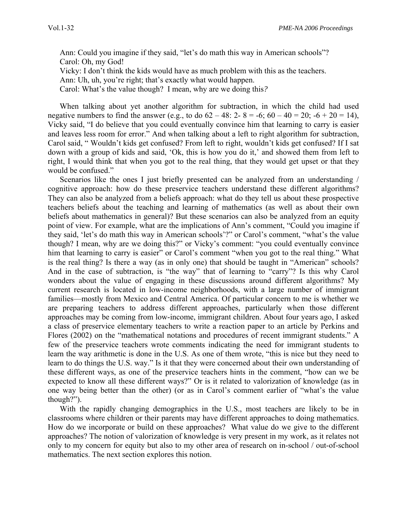Ann: Could you imagine if they said, "let's do math this way in American schools"? Carol: Oh, my God! Vicky: I don't think the kids would have as much problem with this as the teachers. Ann: Uh, uh, you're right; that's exactly what would happen. Carol: What's the value though? I mean, why are we doing this*?*

When talking about yet another algorithm for subtraction, in which the child had used negative numbers to find the answer (e.g., to do  $62 - 48$ :  $2 - 8 = -6$ ;  $60 - 40 = 20$ ;  $-6 + 20 = 14$ ), Vicky said, "I do believe that you could eventually convince him that learning to carry is easier and leaves less room for error." And when talking about a left to right algorithm for subtraction, Carol said, " Wouldn't kids get confused? From left to right, wouldn't kids get confused? If I sat down with a group of kids and said, 'Ok, this is how you do it,' and showed them from left to right, I would think that when you got to the real thing, that they would get upset or that they would be confused."

Scenarios like the ones I just briefly presented can be analyzed from an understanding / cognitive approach: how do these preservice teachers understand these different algorithms? They can also be analyzed from a beliefs approach: what do they tell us about these prospective teachers beliefs about the teaching and learning of mathematics (as well as about their own beliefs about mathematics in general)? But these scenarios can also be analyzed from an equity point of view. For example, what are the implications of Ann's comment, "Could you imagine if they said, 'let's do math this way in American schools'?" or Carol's comment, "what's the value though? I mean, why are we doing this?" or Vicky's comment: "you could eventually convince him that learning to carry is easier" or Carol's comment "when you got to the real thing." What is the real thing? Is there a way (as in only one) that should be taught in "American" schools? And in the case of subtraction, is "the way" that of learning to "carry"? Is this why Carol wonders about the value of engaging in these discussions around different algorithms? My current research is located in low-income neighborhoods, with a large number of immigrant families—mostly from Mexico and Central America. Of particular concern to me is whether we are preparing teachers to address different approaches, particularly when those different approaches may be coming from low-income, immigrant children. About four years ago, I asked a class of preservice elementary teachers to write a reaction paper to an article by Perkins and Flores (2002) on the "mathematical notations and procedures of recent immigrant students." A few of the preservice teachers wrote comments indicating the need for immigrant students to learn the way arithmetic is done in the U.S. As one of them wrote, "this is nice but they need to learn to do things the U.S. way." Is it that they were concerned about their own understanding of these different ways, as one of the preservice teachers hints in the comment, "how can we be expected to know all these different ways?" Or is it related to valorization of knowledge (as in one way being better than the other) (or as in Carol's comment earlier of "what's the value though?").

With the rapidly changing demographics in the U.S., most teachers are likely to be in classrooms where children or their parents may have different approaches to doing mathematics. How do we incorporate or build on these approaches? What value do we give to the different approaches? The notion of valorization of knowledge is very present in my work, as it relates not only to my concern for equity but also to my other area of research on in-school / out-of-school mathematics. The next section explores this notion.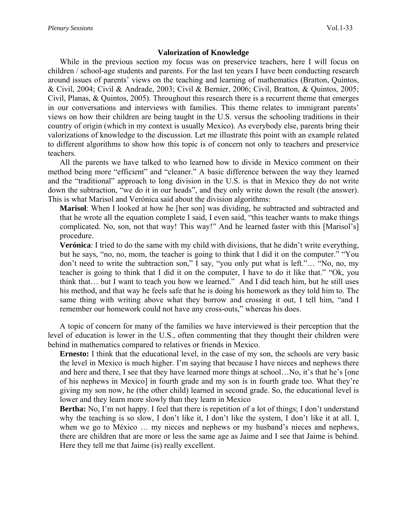### **Valorization of Knowledge**

While in the previous section my focus was on preservice teachers, here I will focus on children / school-age students and parents. For the last ten years I have been conducting research around issues of parents' views on the teaching and learning of mathematics (Bratton, Quintos, & Civil, 2004; Civil & Andrade, 2003; Civil & Bernier, 2006; Civil, Bratton, & Quintos, 2005; Civil, Planas, & Quintos, 2005). Throughout this research there is a recurrent theme that emerges in our conversations and interviews with families. This theme relates to immigrant parents' views on how their children are being taught in the U.S. versus the schooling traditions in their country of origin (which in my context is usually Mexico). As everybody else, parents bring their valorizations of knowledge to the discussion. Let me illustrate this point with an example related to different algorithms to show how this topic is of concern not only to teachers and preservice teachers.

All the parents we have talked to who learned how to divide in Mexico comment on their method being more "efficient" and "cleaner." A basic difference between the way they learned and the "traditional" approach to long division in the U.S. is that in Mexico they do not write down the subtraction, "we do it in our heads", and they only write down the result (the answer). This is what Marisol and Verónica said about the division algorithms:

**Marisol**: When I looked at how he [her son] was dividing, he subtracted and subtracted and that he wrote all the equation complete I said, I even said, "this teacher wants to make things complicated. No, son, not that way! This way!" And he learned faster with this [Marisol's] procedure.

**Verónica**: I tried to do the same with my child with divisions, that he didn't write everything, but he says, "no, no, mom, the teacher is going to think that I did it on the computer." "You don't need to write the subtraction son," I say, "you only put what is left."… "No, no, my teacher is going to think that I did it on the computer, I have to do it like that." "Ok, you think that… but I want to teach you how we learned." And I did teach him, but he still uses his method, and that way he feels safe that he is doing his homework as they told him to. The same thing with writing above what they borrow and crossing it out, I tell him, "and I remember our homework could not have any cross-outs," whereas his does.

A topic of concern for many of the families we have interviewed is their perception that the level of education is lower in the U.S., often commenting that they thought their children were behind in mathematics compared to relatives or friends in Mexico.

**Ernesto:** I think that the educational level, in the case of my son, the schools are very basic the level in Mexico is much higher. I'm saying that because I have nieces and nephews there and here and there, I see that they have learned more things at school…No, it's that he's [one of his nephews in Mexico] in fourth grade and my son is in fourth grade too. What they're giving my son now, he (the other child) learned in second grade. So, the educational level is lower and they learn more slowly than they learn in Mexico

**Bertha:** No, I'm not happy. I feel that there is repetition of a lot of things; I don't understand why the teaching is so slow, I don't like it, I don't like the system, I don't like it at all. I, when we go to México ... my nieces and nephews or my husband's nieces and nephews, there are children that are more or less the same age as Jaime and I see that Jaime is behind. Here they tell me that Jaime (is) really excellent.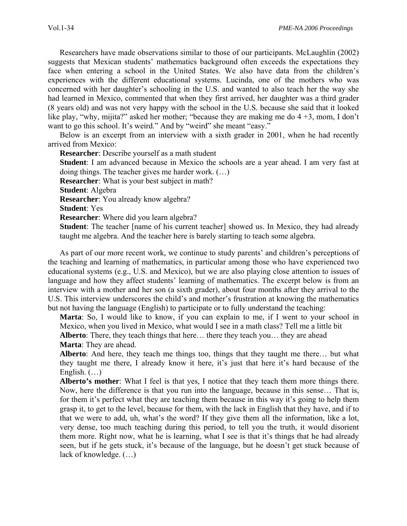Researchers have made observations similar to those of our participants. McLaughlin (2002) suggests that Mexican students' mathematics background often exceeds the expectations they face when entering a school in the United States. We also have data from the children's experiences with the different educational systems. Lucinda, one of the mothers who was concerned with her daughter's schooling in the U.S. and wanted to also teach her the way she had learned in Mexico, commented that when they first arrived, her daughter was a third grader (8 years old) and was not very happy with the school in the U.S. because she said that it looked like play, "why, mijita?" asked her mother; "because they are making me do 4 +3, mom, I don't want to go this school. It's weird." And by "weird" she meant "easy."

Below is an excerpt from an interview with a sixth grader in 2001, when he had recently arrived from Mexico:

**Researcher**: Describe yourself as a math student **Student**: I am advanced because in Mexico the schools are a year ahead. I am very fast at doing things. The teacher gives me harder work. (…) **Researcher**: What is your best subject in math? **Student**: Algebra **Researcher**: You already know algebra? **Student**: Yes **Researcher**: Where did you learn algebra? **Student**: The teacher [name of his current teacher] showed us. In Mexico, they had already taught me algebra. And the teacher here is barely starting to teach some algebra.

As part of our more recent work, we continue to study parents' and children's perceptions of the teaching and learning of mathematics, in particular among those who have experienced two educational systems (e.g., U.S. and Mexico), but we are also playing close attention to issues of language and how they affect students' learning of mathematics. The excerpt below is from an interview with a mother and her son (a sixth grader), about four months after they arrival to the U.S. This interview underscores the child's and mother's frustration at knowing the mathematics but not having the language (English) to participate or to fully understand the teaching:

**Marta**: So, I would like to know, if you can explain to me, if I went to your school in Mexico, when you lived in Mexico, what would I see in a math class? Tell me a little bit

**Alberto**: There, they teach things that here… there they teach you… they are ahead **Marta**: They are ahead.

**Alberto**: And here, they teach me things too, things that they taught me there… but what they taught me there, I already know it here, it's just that here it's hard because of the English.  $(\ldots)$ 

**Alberto's mother**: What I feel is that yes, I notice that they teach them more things there. Now, here the difference is that you run into the language, because in this sense… That is, for them it's perfect what they are teaching them because in this way it's going to help them grasp it, to get to the level, because for them, with the lack in English that they have, and if to that we were to add, uh, what's the word? If they give them all the information, like a lot, very dense, too much teaching during this period, to tell you the truth, it would disorient them more. Right now, what he is learning, what I see is that it's things that he had already seen, but if he gets stuck, it's because of the language, but he doesn't get stuck because of lack of knowledge. (…)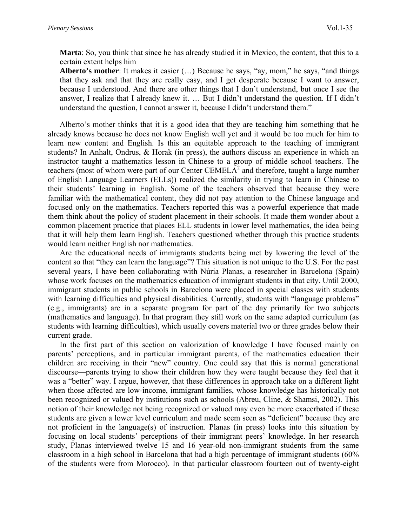**Marta**: So, you think that since he has already studied it in Mexico, the content, that this to a certain extent helps him

**Alberto's mother**: It makes it easier (…) Because he says, "ay, mom," he says, "and things that they ask and that they are really easy, and I get desperate because I want to answer, because I understood. And there are other things that I don't understand, but once I see the answer, I realize that I already knew it. … But I didn't understand the question. If I didn't understand the question, I cannot answer it, because I didn't understand them."

Alberto's mother thinks that it is a good idea that they are teaching him something that he already knows because he does not know English well yet and it would be too much for him to learn new content and English. Is this an equitable approach to the teaching of immigrant students? In Anhalt, Ondrus, & Horak (in press), the authors discuss an experience in which an instructor taught a mathematics lesson in Chinese to a group of middle school teachers. The teachers (most of whom were part of our Center CEMELA<sup>2</sup> and therefore, taught a large number of English Language Learners (ELLs)) realized the similarity in trying to learn in Chinese to their students' learning in English. Some of the teachers observed that because they were familiar with the mathematical content, they did not pay attention to the Chinese language and focused only on the mathematics. Teachers reported this was a powerful experience that made them think about the policy of student placement in their schools. It made them wonder about a common placement practice that places ELL students in lower level mathematics, the idea being that it will help them learn English. Teachers questioned whether through this practice students would learn neither English nor mathematics.

Are the educational needs of immigrants students being met by lowering the level of the content so that "they can learn the language"? This situation is not unique to the U.S. For the past several years, I have been collaborating with Núria Planas, a researcher in Barcelona (Spain) whose work focuses on the mathematics education of immigrant students in that city. Until 2000, immigrant students in public schools in Barcelona were placed in special classes with students with learning difficulties and physical disabilities. Currently, students with "language problems" (e.g., immigrants) are in a separate program for part of the day primarily for two subjects (mathematics and language). In that program they still work on the same adapted curriculum (as students with learning difficulties), which usually covers material two or three grades below their current grade.

In the first part of this section on valorization of knowledge I have focused mainly on parents' perceptions, and in particular immigrant parents, of the mathematics education their children are receiving in their "new" country. One could say that this is normal generational discourse—parents trying to show their children how they were taught because they feel that it was a "better" way. I argue, however, that these differences in approach take on a different light when those affected are low-income, immigrant families, whose knowledge has historically not been recognized or valued by institutions such as schools (Abreu, Cline, & Shamsi, 2002). This notion of their knowledge not being recognized or valued may even be more exacerbated if these students are given a lower level curriculum and made seem seen as "deficient" because they are not proficient in the language(s) of instruction. Planas (in press) looks into this situation by focusing on local students' perceptions of their immigrant peers' knowledge. In her research study, Planas interviewed twelve 15 and 16 year-old non-immigrant students from the same classroom in a high school in Barcelona that had a high percentage of immigrant students (60% of the students were from Morocco). In that particular classroom fourteen out of twenty-eight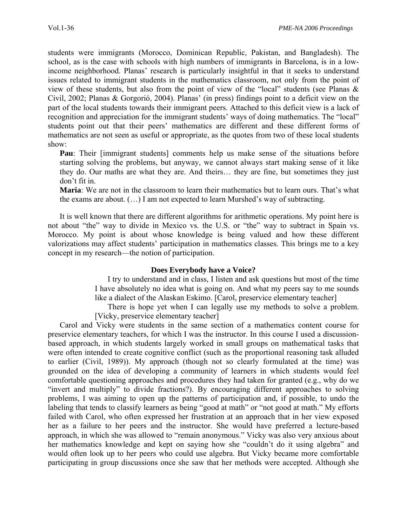students were immigrants (Morocco, Dominican Republic, Pakistan, and Bangladesh). The school, as is the case with schools with high numbers of immigrants in Barcelona, is in a lowincome neighborhood. Planas' research is particularly insightful in that it seeks to understand issues related to immigrant students in the mathematics classroom, not only from the point of view of these students, but also from the point of view of the "local" students (see Planas  $\&$ Civil, 2002; Planas & Gorgorió, 2004). Planas' (in press) findings point to a deficit view on the part of the local students towards their immigrant peers. Attached to this deficit view is a lack of recognition and appreciation for the immigrant students' ways of doing mathematics. The "local" students point out that their peers' mathematics are different and these different forms of mathematics are not seen as useful or appropriate, as the quotes from two of these local students show:

**Pau**: Their [immigrant students] comments help us make sense of the situations before starting solving the problems, but anyway, we cannot always start making sense of it like they do. Our maths are what they are. And theirs… they are fine, but sometimes they just don't fit in.

**Maria**: We are not in the classroom to learn their mathematics but to learn ours. That's what the exams are about.  $(...)$  I am not expected to learn Murshed's way of subtracting.

It is well known that there are different algorithms for arithmetic operations. My point here is not about "the" way to divide in Mexico vs. the U.S. or "the" way to subtract in Spain vs. Morocco. My point is about whose knowledge is being valued and how these different valorizations may affect students' participation in mathematics classes. This brings me to a key concept in my research—the notion of participation.

# **Does Everybody have a Voice?**

I try to understand and in class, I listen and ask questions but most of the time I have absolutely no idea what is going on. And what my peers say to me sounds like a dialect of the Alaskan Eskimo. [Carol, preservice elementary teacher]

There is hope yet when I can legally use my methods to solve a problem. [Vicky, preservice elementary teacher]

Carol and Vicky were students in the same section of a mathematics content course for preservice elementary teachers, for which I was the instructor. In this course I used a discussionbased approach, in which students largely worked in small groups on mathematical tasks that were often intended to create cognitive conflict (such as the proportional reasoning task alluded to earlier (Civil, 1989)). My approach (though not so clearly formulated at the time) was grounded on the idea of developing a community of learners in which students would feel comfortable questioning approaches and procedures they had taken for granted (e.g., why do we "invert and multiply" to divide fractions?). By encouraging different approaches to solving problems, I was aiming to open up the patterns of participation and, if possible, to undo the labeling that tends to classify learners as being "good at math" or "not good at math." My efforts failed with Carol, who often expressed her frustration at an approach that in her view exposed her as a failure to her peers and the instructor. She would have preferred a lecture-based approach, in which she was allowed to "remain anonymous." Vicky was also very anxious about her mathematics knowledge and kept on saying how she "couldn't do it using algebra" and would often look up to her peers who could use algebra. But Vicky became more comfortable participating in group discussions once she saw that her methods were accepted. Although she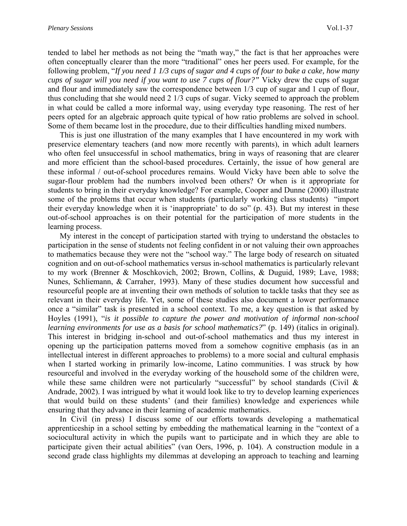tended to label her methods as not being the "math way," the fact is that her approaches were often conceptually clearer than the more "traditional" ones her peers used. For example, for the following problem, "*If you need 1 1/3 cups of sugar and 4 cups of four to bake a cake, how many cups of sugar will you need if you want to use 7 cups of flour?"* Vicky drew the cups of sugar and flour and immediately saw the correspondence between 1/3 cup of sugar and 1 cup of flour, thus concluding that she would need 2 1/3 cups of sugar. Vicky seemed to approach the problem in what could be called a more informal way, using everyday type reasoning. The rest of her peers opted for an algebraic approach quite typical of how ratio problems are solved in school. Some of them became lost in the procedure, due to their difficulties handling mixed numbers.

This is just one illustration of the many examples that I have encountered in my work with preservice elementary teachers (and now more recently with parents), in which adult learners who often feel unsuccessful in school mathematics, bring in ways of reasoning that are clearer and more efficient than the school-based procedures. Certainly, the issue of how general are these informal / out-of-school procedures remains. Would Vicky have been able to solve the sugar-flour problem had the numbers involved been others? Or when is it appropriate for students to bring in their everyday knowledge? For example, Cooper and Dunne (2000) illustrate some of the problems that occur when students (particularly working class students) "import their everyday knowledge when it is 'inappropriate' to do so" (p. 43). But my interest in these out-of-school approaches is on their potential for the participation of more students in the learning process.

My interest in the concept of participation started with trying to understand the obstacles to participation in the sense of students not feeling confident in or not valuing their own approaches to mathematics because they were not the "school way." The large body of research on situated cognition and on out-of-school mathematics versus in-school mathematics is particularly relevant to my work (Brenner & Moschkovich, 2002; Brown, Collins, & Duguid, 1989; Lave, 1988; Nunes, Schliemann, & Carraher, 1993). Many of these studies document how successful and resourceful people are at inventing their own methods of solution to tackle tasks that they see as relevant in their everyday life. Yet, some of these studies also document a lower performance once a "similar" task is presented in a school context. To me, a key question is that asked by Hoyles (1991), "*is it possible to capture the power and motivation of informal non-school learning environments for use as a basis for school mathematics?*" (p. 149) (italics in original). This interest in bridging in-school and out-of-school mathematics and thus my interest in opening up the participation patterns moved from a somehow cognitive emphasis (as in an intellectual interest in different approaches to problems) to a more social and cultural emphasis when I started working in primarily low-income, Latino communities. I was struck by how resourceful and involved in the everyday working of the household some of the children were, while these same children were not particularly "successful" by school standards (Civil  $\&$ Andrade, 2002). I was intrigued by what it would look like to try to develop learning experiences that would build on these students' (and their families) knowledge and experiences while ensuring that they advance in their learning of academic mathematics.

In Civil (in press) I discuss some of our efforts towards developing a mathematical apprenticeship in a school setting by embedding the mathematical learning in the "context of a sociocultural activity in which the pupils want to participate and in which they are able to participate given their actual abilities" (van Oers, 1996, p. 104). A construction module in a second grade class highlights my dilemmas at developing an approach to teaching and learning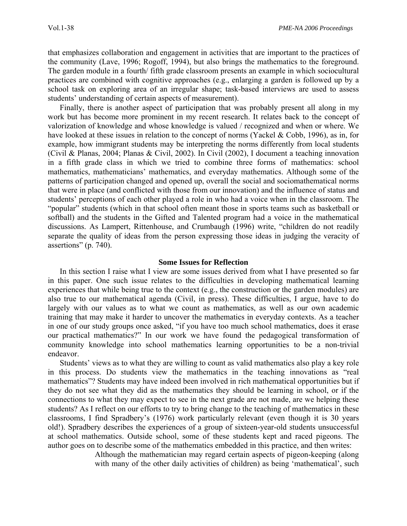that emphasizes collaboration and engagement in activities that are important to the practices of the community (Lave, 1996; Rogoff, 1994), but also brings the mathematics to the foreground. The garden module in a fourth/ fifth grade classroom presents an example in which sociocultural practices are combined with cognitive approaches (e.g., enlarging a garden is followed up by a school task on exploring area of an irregular shape; task-based interviews are used to assess students' understanding of certain aspects of measurement).

Finally, there is another aspect of participation that was probably present all along in my work but has become more prominent in my recent research. It relates back to the concept of valorization of knowledge and whose knowledge is valued / recognized and when or where. We have looked at these issues in relation to the concept of norms (Yackel & Cobb, 1996), as in, for example, how immigrant students may be interpreting the norms differently from local students (Civil & Planas, 2004; Planas & Civil, 2002). In Civil (2002), I document a teaching innovation in a fifth grade class in which we tried to combine three forms of mathematics: school mathematics, mathematicians' mathematics, and everyday mathematics. Although some of the patterns of participation changed and opened up, overall the social and sociomathematical norms that were in place (and conflicted with those from our innovation) and the influence of status and students' perceptions of each other played a role in who had a voice when in the classroom. The "popular" students (which in that school often meant those in sports teams such as basketball or softball) and the students in the Gifted and Talented program had a voice in the mathematical discussions. As Lampert, Rittenhouse, and Crumbaugh (1996) write, "children do not readily separate the quality of ideas from the person expressing those ideas in judging the veracity of assertions" (p. 740).

#### **Some Issues for Reflection**

In this section I raise what I view are some issues derived from what I have presented so far in this paper. One such issue relates to the difficulties in developing mathematical learning experiences that while being true to the context (e.g., the construction or the garden modules) are also true to our mathematical agenda (Civil, in press). These difficulties, I argue, have to do largely with our values as to what we count as mathematics, as well as our own academic training that may make it harder to uncover the mathematics in everyday contexts. As a teacher in one of our study groups once asked, "if you have too much school mathematics, does it erase our practical mathematics?" In our work we have found the pedagogical transformation of community knowledge into school mathematics learning opportunities to be a non-trivial endeavor.

Students' views as to what they are willing to count as valid mathematics also play a key role in this process. Do students view the mathematics in the teaching innovations as "real mathematics"? Students may have indeed been involved in rich mathematical opportunities but if they do not see what they did as the mathematics they should be learning in school, or if the connections to what they may expect to see in the next grade are not made, are we helping these students? As I reflect on our efforts to try to bring change to the teaching of mathematics in these classrooms, I find Spradbery's (1976) work particularly relevant (even though it is 30 years old!). Spradbery describes the experiences of a group of sixteen-year-old students unsuccessful at school mathematics. Outside school, some of these students kept and raced pigeons. The author goes on to describe some of the mathematics embedded in this practice, and then writes:

> Although the mathematician may regard certain aspects of pigeon-keeping (along with many of the other daily activities of children) as being 'mathematical', such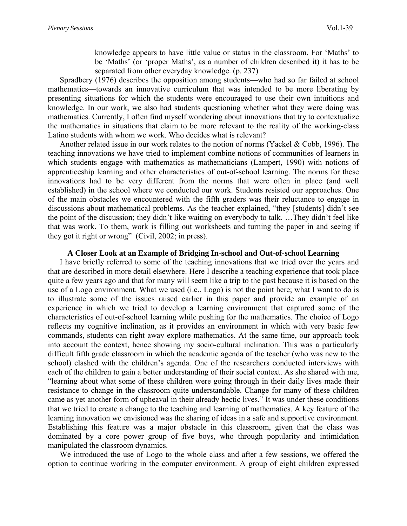knowledge appears to have little value or status in the classroom. For 'Maths' to be 'Maths' (or 'proper Maths', as a number of children described it) it has to be separated from other everyday knowledge. (p. 237)

Spradbery (1976) describes the opposition among students—who had so far failed at school mathematics—towards an innovative curriculum that was intended to be more liberating by presenting situations for which the students were encouraged to use their own intuitions and knowledge. In our work, we also had students questioning whether what they were doing was mathematics. Currently, I often find myself wondering about innovations that try to contextualize the mathematics in situations that claim to be more relevant to the reality of the working-class Latino students with whom we work. Who decides what is relevant?

Another related issue in our work relates to the notion of norms (Yackel & Cobb, 1996). The teaching innovations we have tried to implement combine notions of communities of learners in which students engage with mathematics as mathematicians (Lampert, 1990) with notions of apprenticeship learning and other characteristics of out-of-school learning. The norms for these innovations had to be very different from the norms that were often in place (and well established) in the school where we conducted our work. Students resisted our approaches. One of the main obstacles we encountered with the fifth graders was their reluctance to engage in discussions about mathematical problems. As the teacher explained, "they [students] didn't see the point of the discussion; they didn't like waiting on everybody to talk. …They didn't feel like that was work. To them, work is filling out worksheets and turning the paper in and seeing if they got it right or wrong" (Civil, 2002; in press).

#### **A Closer Look at an Example of Bridging In-school and Out-of-school Learning**

I have briefly referred to some of the teaching innovations that we tried over the years and that are described in more detail elsewhere. Here I describe a teaching experience that took place quite a few years ago and that for many will seem like a trip to the past because it is based on the use of a Logo environment. What we used (i.e., Logo) is not the point here; what I want to do is to illustrate some of the issues raised earlier in this paper and provide an example of an experience in which we tried to develop a learning environment that captured some of the characteristics of out-of-school learning while pushing for the mathematics. The choice of Logo reflects my cognitive inclination, as it provides an environment in which with very basic few commands, students can right away explore mathematics. At the same time, our approach took into account the context, hence showing my socio-cultural inclination. This was a particularly difficult fifth grade classroom in which the academic agenda of the teacher (who was new to the school) clashed with the children's agenda. One of the researchers conducted interviews with each of the children to gain a better understanding of their social context. As she shared with me, "learning about what some of these children were going through in their daily lives made their resistance to change in the classroom quite understandable. Change for many of these children came as yet another form of upheaval in their already hectic lives." It was under these conditions that we tried to create a change to the teaching and learning of mathematics. A key feature of the learning innovation we envisioned was the sharing of ideas in a safe and supportive environment. Establishing this feature was a major obstacle in this classroom, given that the class was dominated by a core power group of five boys, who through popularity and intimidation manipulated the classroom dynamics.

We introduced the use of Logo to the whole class and after a few sessions, we offered the option to continue working in the computer environment. A group of eight children expressed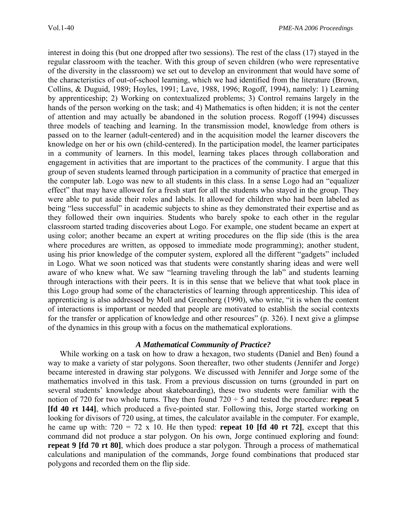interest in doing this (but one dropped after two sessions). The rest of the class (17) stayed in the regular classroom with the teacher. With this group of seven children (who were representative of the diversity in the classroom) we set out to develop an environment that would have some of the characteristics of out-of-school learning, which we had identified from the literature (Brown, Collins, & Duguid, 1989; Hoyles, 1991; Lave, 1988, 1996; Rogoff, 1994), namely: 1) Learning by apprenticeship; 2) Working on contextualized problems; 3) Control remains largely in the hands of the person working on the task; and 4) Mathematics is often hidden; it is not the center of attention and may actually be abandoned in the solution process. Rogoff (1994) discusses three models of teaching and learning. In the transmission model, knowledge from others is passed on to the learner (adult-centered) and in the acquisition model the learner discovers the knowledge on her or his own (child-centered). In the participation model, the learner participates in a community of learners. In this model, learning takes places through collaboration and engagement in activities that are important to the practices of the community. I argue that this group of seven students learned through participation in a community of practice that emerged in the computer lab. Logo was new to all students in this class. In a sense Logo had an "equalizer effect" that may have allowed for a fresh start for all the students who stayed in the group. They were able to put aside their roles and labels. It allowed for children who had been labeled as being "less successful" in academic subjects to shine as they demonstrated their expertise and as they followed their own inquiries. Students who barely spoke to each other in the regular classroom started trading discoveries about Logo. For example, one student became an expert at using color; another became an expert at writing procedures on the flip side (this is the area where procedures are written, as opposed to immediate mode programming); another student, using his prior knowledge of the computer system, explored all the different "gadgets" included in Logo. What we soon noticed was that students were constantly sharing ideas and were well aware of who knew what. We saw "learning traveling through the lab" and students learning through interactions with their peers. It is in this sense that we believe that what took place in this Logo group had some of the characteristics of learning through apprenticeship. This idea of apprenticing is also addressed by Moll and Greenberg (1990), who write, "it is when the content of interactions is important or needed that people are motivated to establish the social contexts for the transfer or application of knowledge and other resources" (p. 326). I next give a glimpse of the dynamics in this group with a focus on the mathematical explorations.

## *A Mathematical Community of Practice?*

While working on a task on how to draw a hexagon, two students (Daniel and Ben) found a way to make a variety of star polygons. Soon thereafter, two other students (Jennifer and Jorge) became interested in drawing star polygons. We discussed with Jennifer and Jorge some of the mathematics involved in this task. From a previous discussion on turns (grounded in part on several students' knowledge about skateboarding), these two students were familiar with the notion of 720 for two whole turns. They then found  $720 \div 5$  and tested the procedure: **repeat 5 [fd 40 rt 144]**, which produced a five-pointed star. Following this, Jorge started working on looking for divisors of 720 using, at times, the calculator available in the computer. For example, he came up with:  $720 = 72 \times 10$ . He then typed: **repeat 10 [fd 40 rt 72]**, except that this command did not produce a star polygon. On his own, Jorge continued exploring and found: **repeat 9 [fd 70 rt 80]**, which does produce a star polygon. Through a process of mathematical calculations and manipulation of the commands, Jorge found combinations that produced star polygons and recorded them on the flip side.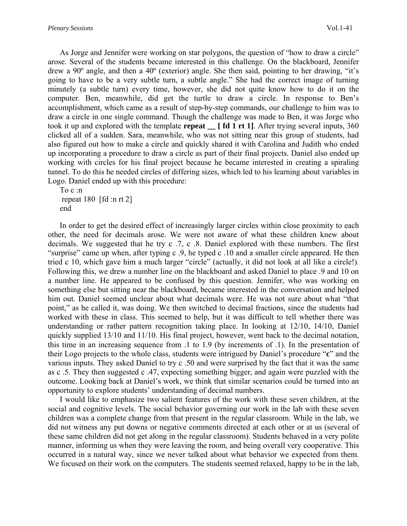As Jorge and Jennifer were working on star polygons, the question of "how to draw a circle" arose. Several of the students became interested in this challenge. On the blackboard, Jennifer drew a 90º angle, and then a 40º (exterior) angle. She then said, pointing to her drawing, "it's going to have to be a very subtle turn, a subtle angle." She had the correct image of turning minutely (a subtle turn) every time, however, she did not quite know how to do it on the computer. Ben, meanwhile, did get the turtle to draw a circle. In response to Ben's accomplishment, which came as a result of step-by-step commands, our challenge to him was to draw a circle in one single command. Though the challenge was made to Ben, it was Jorge who took it up and explored with the template **repeat \_\_ [ fd 1 rt 1]**. After trying several inputs, 360 clicked all of a sudden. Sara, meanwhile, who was not sitting near this group of students, had also figured out how to make a circle and quickly shared it with Carolina and Judith who ended up incorporating a procedure to draw a circle as part of their final projects. Daniel also ended up working with circles for his final project because he became interested in creating a spiraling tunnel. To do this he needed circles of differing sizes, which led to his learning about variables in Logo. Daniel ended up with this procedure:

To c :n repeat  $180$  [fd :n rt 2] end

In order to get the desired effect of increasingly larger circles within close proximity to each other, the need for decimals arose. We were not aware of what these children knew about decimals. We suggested that he try c .7, c .8. Daniel explored with these numbers. The first "surprise" came up when, after typing c .9, he typed c .10 and a smaller circle appeared. He then tried c 10, which gave him a much larger "circle" (actually, it did not look at all like a circle!). Following this, we drew a number line on the blackboard and asked Daniel to place .9 and 10 on a number line. He appeared to be confused by this question. Jennifer, who was working on something else but sitting near the blackboard, became interested in the conversation and helped him out. Daniel seemed unclear about what decimals were. He was not sure about what "that point," as he called it, was doing. We then switched to decimal fractions, since the students had worked with these in class. This seemed to help, but it was difficult to tell whether there was understanding or rather pattern recognition taking place. In looking at 12/10, 14/10, Daniel quickly supplied 13/10 and 11/10. His final project, however, went back to the decimal notation, this time in an increasing sequence from .1 to 1.9 (by increments of .1). In the presentation of their Logo projects to the whole class, students were intrigued by Daniel's procedure "**c**" and the various inputs. They asked Daniel to try c .50 and were surprised by the fact that it was the same as c .5. They then suggested c .47, expecting something bigger, and again were puzzled with the outcome. Looking back at Daniel's work, we think that similar scenarios could be turned into an opportunity to explore students' understanding of decimal numbers.

I would like to emphasize two salient features of the work with these seven children, at the social and cognitive levels. The social behavior governing our work in the lab with these seven children was a complete change from that present in the regular classroom. While in the lab, we did not witness any put downs or negative comments directed at each other or at us (several of these same children did not get along in the regular classroom). Students behaved in a very polite manner, informing us when they were leaving the room, and being overall very cooperative. This occurred in a natural way, since we never talked about what behavior we expected from them. We focused on their work on the computers. The students seemed relaxed, happy to be in the lab,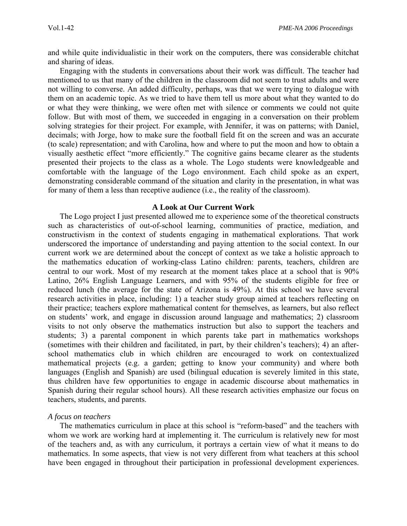and while quite individualistic in their work on the computers, there was considerable chitchat and sharing of ideas.

Engaging with the students in conversations about their work was difficult. The teacher had mentioned to us that many of the children in the classroom did not seem to trust adults and were not willing to converse. An added difficulty, perhaps, was that we were trying to dialogue with them on an academic topic. As we tried to have them tell us more about what they wanted to do or what they were thinking, we were often met with silence or comments we could not quite follow. But with most of them, we succeeded in engaging in a conversation on their problem solving strategies for their project. For example, with Jennifer, it was on patterns; with Daniel, decimals; with Jorge, how to make sure the football field fit on the screen and was an accurate (to scale) representation; and with Carolina, how and where to put the moon and how to obtain a visually aesthetic effect "more efficiently." The cognitive gains became clearer as the students presented their projects to the class as a whole. The Logo students were knowledgeable and comfortable with the language of the Logo environment. Each child spoke as an expert, demonstrating considerable command of the situation and clarity in the presentation, in what was for many of them a less than receptive audience (i.e., the reality of the classroom).

## **A Look at Our Current Work**

The Logo project I just presented allowed me to experience some of the theoretical constructs such as characteristics of out-of-school learning, communities of practice, mediation, and constructivism in the context of students engaging in mathematical explorations. That work underscored the importance of understanding and paying attention to the social context. In our current work we are determined about the concept of context as we take a holistic approach to the mathematics education of working-class Latino children: parents, teachers, children are central to our work. Most of my research at the moment takes place at a school that is 90% Latino, 26% English Language Learners, and with 95% of the students eligible for free or reduced lunch (the average for the state of Arizona is 49%). At this school we have several research activities in place, including: 1) a teacher study group aimed at teachers reflecting on their practice; teachers explore mathematical content for themselves, as learners, but also reflect on students' work, and engage in discussion around language and mathematics; 2) classroom visits to not only observe the mathematics instruction but also to support the teachers and students; 3) a parental component in which parents take part in mathematics workshops (sometimes with their children and facilitated, in part, by their children's teachers); 4) an afterschool mathematics club in which children are encouraged to work on contextualized mathematical projects (e.g. a garden; getting to know your community) and where both languages (English and Spanish) are used (bilingual education is severely limited in this state, thus children have few opportunities to engage in academic discourse about mathematics in Spanish during their regular school hours). All these research activities emphasize our focus on teachers, students, and parents.

## *A focus on teachers*

The mathematics curriculum in place at this school is "reform-based" and the teachers with whom we work are working hard at implementing it. The curriculum is relatively new for most of the teachers and, as with any curriculum, it portrays a certain view of what it means to do mathematics. In some aspects, that view is not very different from what teachers at this school have been engaged in throughout their participation in professional development experiences.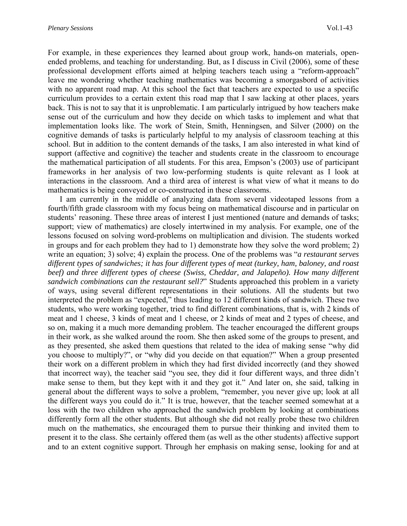For example, in these experiences they learned about group work, hands-on materials, openended problems, and teaching for understanding. But, as I discuss in Civil (2006), some of these professional development efforts aimed at helping teachers teach using a "reform-approach" leave me wondering whether teaching mathematics was becoming a smorgasbord of activities with no apparent road map. At this school the fact that teachers are expected to use a specific curriculum provides to a certain extent this road map that I saw lacking at other places, years back. This is not to say that it is unproblematic. I am particularly intrigued by how teachers make sense out of the curriculum and how they decide on which tasks to implement and what that implementation looks like. The work of Stein, Smith, Henningsen, and Silver (2000) on the cognitive demands of tasks is particularly helpful to my analysis of classroom teaching at this school. But in addition to the content demands of the tasks, I am also interested in what kind of support (affective and cognitive) the teacher and students create in the classroom to encourage the mathematical participation of all students. For this area, Empson's (2003) use of participant frameworks in her analysis of two low-performing students is quite relevant as I look at interactions in the classroom. And a third area of interest is what view of what it means to do mathematics is being conveyed or co-constructed in these classrooms.

I am currently in the middle of analyzing data from several videotaped lessons from a fourth/fifth grade classroom with my focus being on mathematical discourse and in particular on students' reasoning. These three areas of interest I just mentioned (nature and demands of tasks; support; view of mathematics) are closely intertwined in my analysis. For example, one of the lessons focused on solving word-problems on multiplication and division. The students worked in groups and for each problem they had to 1) demonstrate how they solve the word problem; 2) write an equation; 3) solve; 4) explain the process. One of the problems was "*a restaurant serves different types of sandwiches; it has four different types of meat (turkey, ham, baloney, and roast*  beef) and three different types of cheese (Swiss, Cheddar, and Jalapeño). How many different *sandwich combinations can the restaurant sell?*" Students approached this problem in a variety of ways, using several different representations in their solutions. All the students but two interpreted the problem as "expected," thus leading to 12 different kinds of sandwich. These two students, who were working together, tried to find different combinations, that is, with 2 kinds of meat and 1 cheese, 3 kinds of meat and 1 cheese, or 2 kinds of meat and 2 types of cheese, and so on, making it a much more demanding problem. The teacher encouraged the different groups in their work, as she walked around the room. She then asked some of the groups to present, and as they presented, she asked them questions that related to the idea of making sense "why did you choose to multiply?", or "why did you decide on that equation?" When a group presented their work on a different problem in which they had first divided incorrectly (and they showed that incorrect way), the teacher said "you see, they did it four different ways, and three didn't make sense to them, but they kept with it and they got it." And later on, she said, talking in general about the different ways to solve a problem, "remember, you never give up; look at all the different ways you could do it." It is true, however, that the teacher seemed somewhat at a loss with the two children who approached the sandwich problem by looking at combinations differently form all the other students. But although she did not really probe these two children much on the mathematics, she encouraged them to pursue their thinking and invited them to present it to the class. She certainly offered them (as well as the other students) affective support and to an extent cognitive support. Through her emphasis on making sense, looking for and at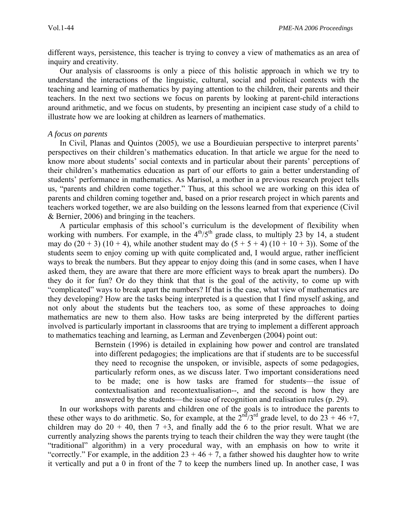different ways, persistence, this teacher is trying to convey a view of mathematics as an area of inquiry and creativity.

Our analysis of classrooms is only a piece of this holistic approach in which we try to understand the interactions of the linguistic, cultural, social and political contexts with the teaching and learning of mathematics by paying attention to the children, their parents and their teachers. In the next two sections we focus on parents by looking at parent-child interactions around arithmetic, and we focus on students, by presenting an incipient case study of a child to illustrate how we are looking at children as learners of mathematics.

## *A focus on parents*

In Civil, Planas and Quintos (2005), we use a Bourdieuian perspective to interpret parents' perspectives on their children's mathematics education. In that article we argue for the need to know more about students' social contexts and in particular about their parents' perceptions of their children's mathematics education as part of our efforts to gain a better understanding of students' performance in mathematics. As Marisol, a mother in a previous research project tells us, "parents and children come together." Thus, at this school we are working on this idea of parents and children coming together and, based on a prior research project in which parents and teachers worked together, we are also building on the lessons learned from that experience (Civil & Bernier, 2006) and bringing in the teachers.

A particular emphasis of this school's curriculum is the development of flexibility when working with numbers. For example, in the  $4<sup>th</sup>/5<sup>th</sup>$  grade class, to multiply 23 by 14, a student may do  $(20 + 3) (10 + 4)$ , while another student may do  $(5 + 5 + 4) (10 + 10 + 3)$ ). Some of the students seem to enjoy coming up with quite complicated and, I would argue, rather inefficient ways to break the numbers. But they appear to enjoy doing this (and in some cases, when I have asked them, they are aware that there are more efficient ways to break apart the numbers). Do they do it for fun? Or do they think that that is the goal of the activity, to come up with "complicated" ways to break apart the numbers? If that is the case, what view of mathematics are they developing? How are the tasks being interpreted is a question that I find myself asking, and not only about the students but the teachers too, as some of these approaches to doing mathematics are new to them also. How tasks are being interpreted by the different parties involved is particularly important in classrooms that are trying to implement a different approach to mathematics teaching and learning, as Lerman and Zevenbergen (2004) point out:

Bernstein (1996) is detailed in explaining how power and control are translated into different pedagogies; the implications are that if students are to be successful they need to recognise the unspoken, or invisible, aspects of some pedagogies, particularly reform ones, as we discuss later. Two important considerations need to be made; one is how tasks are framed for students—the issue of contextualisation and recontextualisation--, and the second is how they are answered by the students—the issue of recognition and realisation rules (p. 29).

In our workshops with parents and children one of the goals is to introduce the parents to these other ways to do arithmetic. So, for example, at the  $2^{n\bar{d}}/3^{rd}$  grade level, to do  $2\bar{3} + 46 + 7$ , children may do  $20 + 40$ , then  $7 + 3$ , and finally add the 6 to the prior result. What we are currently analyzing shows the parents trying to teach their children the way they were taught (the "traditional" algorithm) in a very procedural way, with an emphasis on how to write it "correctly." For example, in the addition  $23 + 46 + 7$ , a father showed his daughter how to write it vertically and put a 0 in front of the 7 to keep the numbers lined up. In another case, I was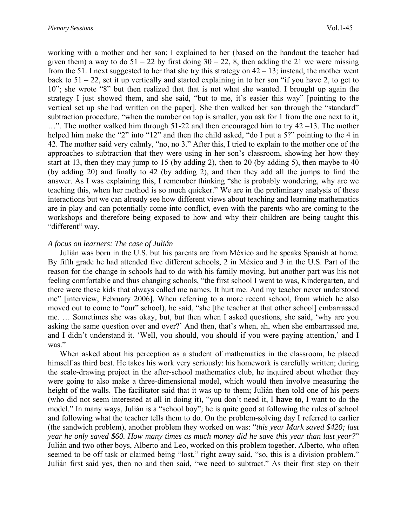working with a mother and her son; I explained to her (based on the handout the teacher had given them) a way to do  $51 - 22$  by first doing  $30 - 22$ , 8, then adding the 21 we were missing from the 51. I next suggested to her that she try this strategy on  $42 - 13$ ; instead, the mother went back to  $51 - 22$ , set it up vertically and started explaining in to her son "if you have 2, to get to 10"; she wrote "8" but then realized that that is not what she wanted. I brought up again the strategy I just showed them, and she said, "but to me, it's easier this way" [pointing to the vertical set up she had written on the paper]. She then walked her son through the "standard" subtraction procedure, "when the number on top is smaller, you ask for 1 from the one next to it, …". The mother walked him through 51-22 and then encouraged him to try 42 –13. The mother helped him make the "2" into "12" and then the child asked, "do I put a 5?" pointing to the 4 in 42. The mother said very calmly, "no, no 3." After this, I tried to explain to the mother one of the approaches to subtraction that they were using in her son's classroom, showing her how they start at 13, then they may jump to 15 (by adding 2), then to 20 (by adding 5), then maybe to 40 (by adding 20) and finally to 42 (by adding 2), and then they add all the jumps to find the answer. As I was explaining this, I remember thinking "she is probably wondering, why are we teaching this, when her method is so much quicker." We are in the preliminary analysis of these interactions but we can already see how different views about teaching and learning mathematics are in play and can potentially come into conflict, even with the parents who are coming to the workshops and therefore being exposed to how and why their children are being taught this "different" way.

### *A focus on learners: The case of Julián*

Julián was born in the U.S. but his parents are from México and he speaks Spanish at home. By fifth grade he had attended five different schools, 2 in México and 3 in the U.S. Part of the reason for the change in schools had to do with his family moving, but another part was his not feeling comfortable and thus changing schools, "the first school I went to was, Kindergarten, and there were these kids that always called me names. It hurt me. And my teacher never understood me" [interview, February 2006]. When referring to a more recent school, from which he also moved out to come to "our" school), he said, "she [the teacher at that other school] embarrassed me. … Sometimes she was okay, but, but then when I asked questions, she said, 'why are you asking the same question over and over?' And then, that's when, ah, when she embarrassed me, and I didn't understand it. 'Well, you should, you should if you were paying attention,' and I was."

When asked about his perception as a student of mathematics in the classroom, he placed himself as third best. He takes his work very seriously: his homework is carefully written; during the scale-drawing project in the after-school mathematics club, he inquired about whether they were going to also make a three-dimensional model, which would then involve measuring the height of the walls. The facilitator said that it was up to them; Julián then told one of his peers (who did not seem interested at all in doing it), "you don't need it, I **have to**, I want to do the model." In many ways, Julián is a "school boy"; he is quite good at following the rules of school and following what the teacher tells them to do. On the problem-solving day I referred to earlier (the sandwich problem), another problem they worked on was: "*this year Mark saved \$420; last year he only saved \$60. How many times as much money did he save this year than last year?*" Julián and two other boys, Alberto and Leo, worked on this problem together. Alberto, who often seemed to be off task or claimed being "lost," right away said, "so, this is a division problem." Julián first said yes, then no and then said, "we need to subtract." As their first step on their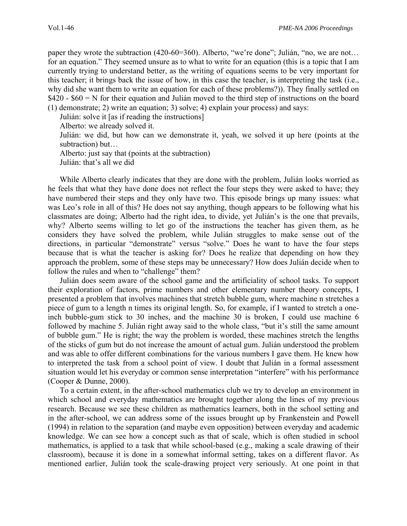paper they wrote the subtraction (420-60=360). Alberto, "we're done"; Julián, "no, we are not... for an equation." They seemed unsure as to what to write for an equation (this is a topic that I am currently trying to understand better, as the writing of equations seems to be very important for this teacher; it brings back the issue of how, in this case the teacher, is interpreting the task (i.e., why did she want them to write an equation for each of these problems?)). They finally settled on  $$420 - $60 = N$  for their equation and Julián moved to the third step of instructions on the board (1) demonstrate; 2) write an equation; 3) solve; 4) explain your process) and says:

Julián: solve it [as if reading the instructions]

Alberto: we already solved it.

Julián: we did, but how can we demonstrate it, yeah, we solved it up here (points at the subtraction) but…

Alberto: just say that (points at the subtraction)

Julián: that's all we did

While Alberto clearly indicates that they are done with the problem, Julián looks worried as he feels that what they have done does not reflect the four steps they were asked to have; they have numbered their steps and they only have two. This episode brings up many issues: what was Leo's role in all of this? He does not say anything, though appears to be following what his classmates are doing; Alberto had the right idea, to divide, yet Julián's is the one that prevails, why? Alberto seems willing to let go of the instructions the teacher has given them, as he considers they have solved the problem, while Julián struggles to make sense out of the directions, in particular "demonstrate" versus "solve." Does he want to have the four steps because that is what the teacher is asking for? Does he realize that depending on how they approach the problem, some of these steps may be unnecessary? How does Julián decide when to follow the rules and when to "challenge" them?

Julián does seem aware of the school game and the artificiality of school tasks. To support their exploration of factors, prime numbers and other elementary number theory concepts, I presented a problem that involves machines that stretch bubble gum, where machine n stretches a piece of gum to a length n times its original length. So, for example, if I wanted to stretch a oneinch bubble-gum stick to 30 inches, and the machine 30 is broken, I could use machine 6 followed by machine 5. Julián right away said to the whole class, "but it's still the same amount of bubble gum." He is right; the way the problem is worded, these machines stretch the lengths of the sticks of gum but do not increase the amount of actual gum. Julián understood the problem and was able to offer different combinations for the various numbers I gave them. He knew how to interpreted the task from a school point of view. I doubt that Julián in a formal assessment situation would let his everyday or common sense interpretation "interfere" with his performance (Cooper & Dunne, 2000).

To a certain extent, in the after-school mathematics club we try to develop an environment in which school and everyday mathematics are brought together along the lines of my previous research. Because we see these children as mathematics learners, both in the school setting and in the after-school, we can address some of the issues brought up by Frankenstein and Powell (1994) in relation to the separation (and maybe even opposition) between everyday and academic knowledge. We can see how a concept such as that of scale, which is often studied in school mathematics, is applied to a task that while school-based (e.g., making a scale drawing of their classroom), because it is done in a somewhat informal setting, takes on a different flavor. As mentioned earlier, Julián took the scale-drawing project very seriously. At one point in that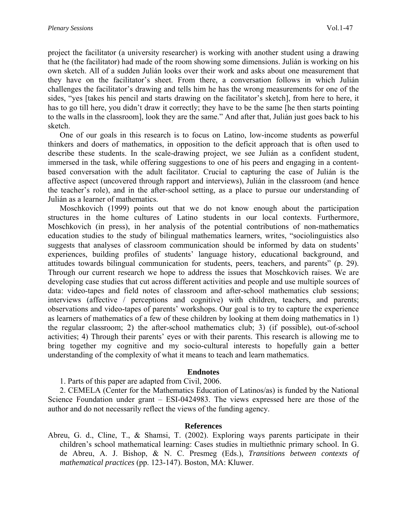project the facilitator (a university researcher) is working with another student using a drawing that he (the facilitator) had made of the room showing some dimensions. Julián is working on his own sketch. All of a sudden Julián looks over their work and asks about one measurement that they have on the facilitator's sheet. From there, a conversation follows in which Julián challenges the facilitator's drawing and tells him he has the wrong measurements for one of the sides, "yes [takes his pencil and starts drawing on the facilitator's sketch], from here to here, it has to go till here, you didn't draw it correctly; they have to be the same [he then starts pointing to the walls in the classroom], look they are the same." And after that, Julián just goes back to his sketch.

One of our goals in this research is to focus on Latino, low-income students as powerful thinkers and doers of mathematics, in opposition to the deficit approach that is often used to describe these students. In the scale-drawing project, we see Julián as a confident student, immersed in the task, while offering suggestions to one of his peers and engaging in a contentbased conversation with the adult facilitator. Crucial to capturing the case of Julián is the affective aspect (uncovered through rapport and interviews), Julián in the classroom (and hence the teacher's role), and in the after-school setting, as a place to pursue our understanding of Julián as a learner of mathematics.

Moschkovich (1999) points out that we do not know enough about the participation structures in the home cultures of Latino students in our local contexts. Furthermore, Moschkovich (in press), in her analysis of the potential contributions of non-mathematics education studies to the study of bilingual mathematics learners, writes, "sociolinguistics also suggests that analyses of classroom communication should be informed by data on students' experiences, building profiles of students' language history, educational background, and attitudes towards bilingual communication for students, peers, teachers, and parents" (p. 29). Through our current research we hope to address the issues that Moschkovich raises. We are developing case studies that cut across different activities and people and use multiple sources of data: video-tapes and field notes of classroom and after-school mathematics club sessions; interviews (affective / perceptions and cognitive) with children, teachers, and parents; observations and video-tapes of parents' workshops. Our goal is to try to capture the experience as learners of mathematics of a few of these children by looking at them doing mathematics in 1) the regular classroom; 2) the after-school mathematics club; 3) (if possible), out-of-school activities; 4) Through their parents' eyes or with their parents. This research is allowing me to bring together my cognitive and my socio-cultural interests to hopefully gain a better understanding of the complexity of what it means to teach and learn mathematics.

### **Endnotes**

1. Parts of this paper are adapted from Civil, 2006.

2. CEMELA (Center for the Mathematics Education of Latinos/as) is funded by the National Science Foundation under grant – ESI-0424983. The views expressed here are those of the author and do not necessarily reflect the views of the funding agency.

#### **References**

Abreu, G. d., Cline, T., & Shamsi, T. (2002). Exploring ways parents participate in their children's school mathematical learning: Cases studies in multiethnic primary school. In G. de Abreu, A. J. Bishop, & N. C. Presmeg (Eds.), *Transitions between contexts of mathematical practices* (pp. 123-147). Boston, MA: Kluwer.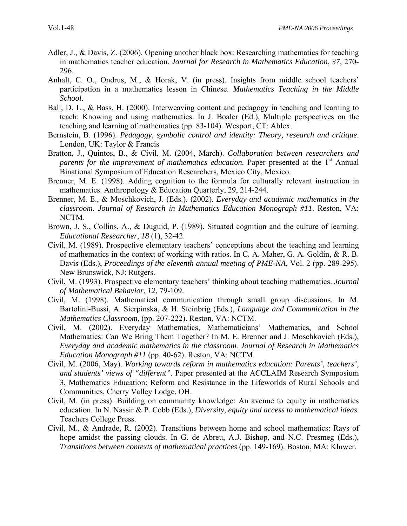- Adler, J., & Davis, Z. (2006). Opening another black box: Researching mathematics for teaching in mathematics teacher education. *Journal for Research in Mathematics Education*, *37*, 270- 296.
- Anhalt, C. O., Ondrus, M., & Horak, V. (in press). Insights from middle school teachers' participation in a mathematics lesson in Chinese. *Mathematics Teaching in the Middle School*.
- Ball, D. L., & Bass, H. (2000). Interweaving content and pedagogy in teaching and learning to teach: Knowing and using mathematics. In J. Boaler (Ed.), Multiple perspectives on the teaching and learning of mathematics (pp. 83-104). Wesport, CT: Ablex.
- Bernstein, B. (1996). *Pedagogy, symbolic control and identity: Theory, research and critique*. London, UK: Taylor & Francis
- Bratton, J., Quintos, B., & Civil, M. (2004, March). *Collaboration between researchers and parents for the improvement of mathematics education.* Paper presented at the 1<sup>st</sup> Annual Binational Symposium of Education Researchers, Mexico City, Mexico.
- Brenner, M. E. (1998). Adding cognition to the formula for culturally relevant instruction in mathematics. Anthropology & Education Quarterly, 29, 214-244.
- Brenner, M. E., & Moschkovich, J. (Eds.). (2002). *Everyday and academic mathematics in the classroom. Journal of Research in Mathematics Education Monograph #11*. Reston, VA: NCTM.
- Brown, J. S., Collins, A., & Duguid, P. (1989). Situated cognition and the culture of learning. *Educational Researcher*, *18* (1), 32-42.
- Civil, M. (1989). Prospective elementary teachers' conceptions about the teaching and learning of mathematics in the context of working with ratios. In C. A. Maher, G. A. Goldin, & R. B. Davis (Eds.), *Proceedings of the eleventh annual meeting of PME-NA*, Vol. 2 (pp. 289-295). New Brunswick, NJ: Rutgers.
- Civil, M. (1993). Prospective elementary teachers' thinking about teaching mathematics. *Journal of Mathematical Behavior*, *12*, 79-109.
- Civil, M. (1998). Mathematical communication through small group discussions. In M. Bartolini-Bussi, A. Sierpinska, & H. Steinbrig (Eds.), *Language and Communication in the Mathematics Classroom*, (pp. 207-222). Reston, VA: NCTM.
- Civil, M. (2002). Everyday Mathematics, Mathematicians' Mathematics, and School Mathematics: Can We Bring Them Together? In M. E. Brenner and J. Moschkovich (Eds.), *Everyday and academic mathematics in the classroom. Journal of Research in Mathematics Education Monograph #11* (pp. 40-62). Reston, VA: NCTM.
- Civil, M. (2006, May). *Working towards reform in mathematics education: Parents', teachers', and students' views of "different".* Paper presented at the ACCLAIM Research Symposium 3, Mathematics Education: Reform and Resistance in the Lifeworlds of Rural Schools and Communities, Cherry Valley Lodge, OH.
- Civil, M. (in press). Building on community knowledge: An avenue to equity in mathematics education. In N. Nassir & P. Cobb (Eds.), *Diversity, equity and access to mathematical ideas*. Teachers College Press.
- Civil, M., & Andrade, R. (2002). Transitions between home and school mathematics: Rays of hope amidst the passing clouds. In G. de Abreu, A.J. Bishop, and N.C. Presmeg (Eds.), *Transitions between contexts of mathematical practices* (pp. 149-169). Boston, MA: Kluwer.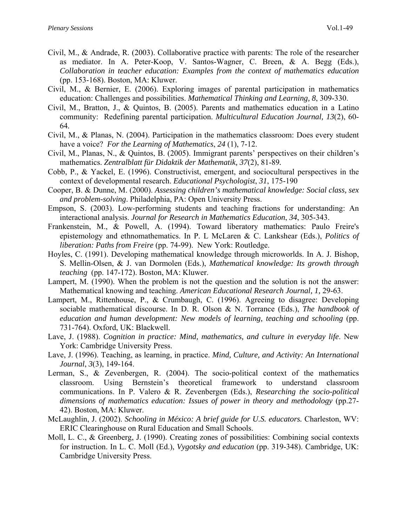- Civil, M., & Andrade, R. (2003). Collaborative practice with parents: The role of the researcher as mediator. In A. Peter-Koop, V. Santos-Wagner, C. Breen, & A. Begg (Eds.), *Collaboration in teacher education: Examples from the context of mathematics education* (pp. 153-168). Boston, MA: Kluwer.
- Civil, M., & Bernier, E. (2006). Exploring images of parental participation in mathematics education: Challenges and possibilities. *Mathematical Thinking and Learning, 8*, 309-330.
- Civil, M., Bratton, J., & Quintos, B. (2005). Parents and mathematics education in a Latino community: Redefining parental participation. *Multicultural Education Journal, 13*(2), 60- 64*.*
- Civil, M., & Planas, N. (2004). Participation in the mathematics classroom: Does every student have a voice? *For the Learning of Mathematics*, *24* (1), 7-12.
- Civil, M., Planas, N., & Quintos, B. (2005). Immigrant parents' perspectives on their children's mathematics. *Zentralblatt für Didaktik der Mathematik, 37*(2), 81-89*.*
- Cobb, P., & Yackel, E. (1996). Constructivist, emergent, and sociocultural perspectives in the context of developmental research. *Educational Psychologist*, *31*, 175-190
- Cooper, B. & Dunne, M. (2000). *Assessing children's mathematical knowledge: Social class, sex and problem-solving*. Philadelphia, PA: Open University Press.
- Empson, S. (2003). Low-performing students and teaching fractions for understanding: An interactional analysis. *Journal for Research in Mathematics Education*, *34*, 305-343.
- Frankenstein, M., & Powell, A. (1994). Toward liberatory mathematics: Paulo Freire's epistemology and ethnomathematics. In P. L McLaren & C. Lankshear (Eds.), *Politics of liberation: Paths from Freire* (pp. 74-99). New York: Routledge.
- Hoyles, C. (1991). Developing mathematical knowledge through microworlds. In A. J. Bishop, S. Mellin-Olsen, & J. van Dormolen (Eds.), *Mathematical knowledge: Its growth through teaching* (pp. 147-172). Boston, MA: Kluwer.
- Lampert, M. (1990). When the problem is not the question and the solution is not the answer: Mathematical knowing and teaching. *American Educational Research Journal, 1,* 29-63.
- Lampert, M., Rittenhouse, P., & Crumbaugh, C. (1996). Agreeing to disagree: Developing sociable mathematical discourse. In D. R. Olson & N. Torrance (Eds.), *The handbook of education and human development: New models of learning, teaching and schooling* (pp. 731-764). Oxford, UK: Blackwell.
- Lave, J. (1988). *Cognition in practice: Mind, mathematics, and culture in everyday life*. New York: Cambridge University Press.
- Lave, J. (1996). Teaching, as learning, in practice. *Mind, Culture, and Activity: An International Journal*, *3*(3), 149-164.
- Lerman, S., & Zevenbergen, R. (2004). The socio-political context of the mathematics classroom. Using Bernstein's theoretical framework to understand classroom communications. In P. Valero & R. Zevenbergen (Eds.), *Researching the socio-political dimensions of mathematics education: Issues of power in theory and methodology* (pp.27- 42). Boston, MA: Kluwer.
- McLaughlin, J. (2002). *Schooling in México: A brief guide for U.S. educators.* Charleston, WV: ERIC Clearinghouse on Rural Education and Small Schools.
- Moll, L. C., & Greenberg, J. (1990). Creating zones of possibilities: Combining social contexts for instruction. In L. C. Moll (Ed.), *Vygotsky and education* (pp. 319-348). Cambridge, UK: Cambridge University Press.